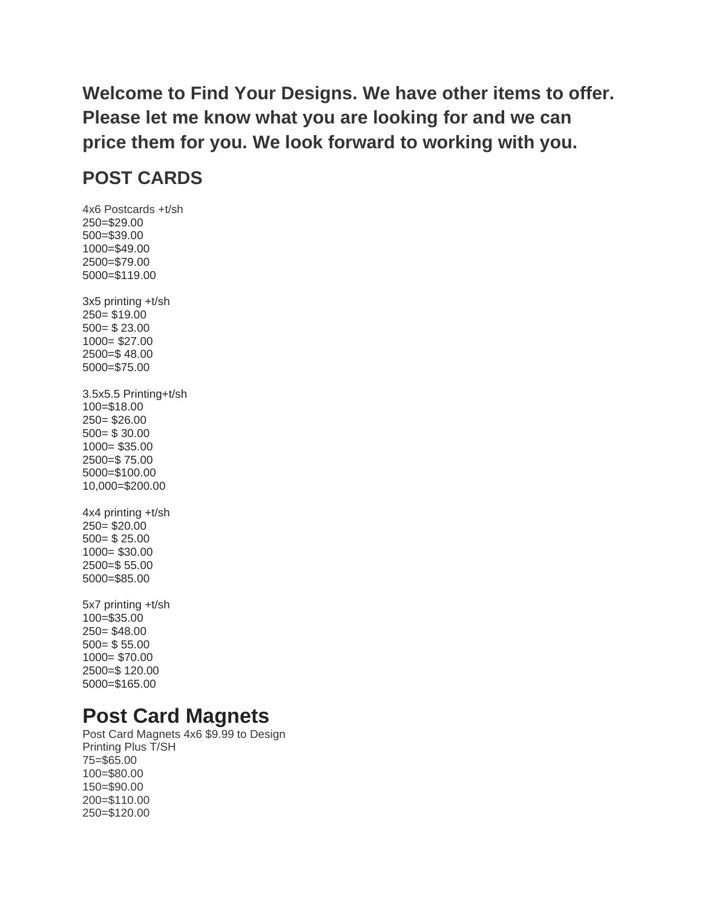**Welcome to Find Your Designs. We have other items to offer. Please let me know what you are looking for and we can price them for you. We look forward to working with you.** 

### **POST CARDS**

4x6 Postcards +t/sh 250=\$29.00 500=\$39.00 1000=\$49.00 2500=\$79.00 5000=\$119.00 3x5 printing +t/sh 250= \$19.00 500= \$ 23.00 1000= \$27.00 2500=\$ 48.00 5000=\$75.00 3.5x5.5 Printing+t/sh 100=\$18.00 250= \$26.00 500= \$ 30.00 1000= \$35.00 2500=\$ 75.00 5000=\$100.00 10,000=\$200.00 4x4 printing +t/sh 250= \$20.00 500= \$ 25.00 1000= \$30.00 2500=\$ 55.00 5000=\$85.00 5x7 printing +t/sh 100=\$35.00 250= \$48.00

500= \$ 55.00 1000= \$70.00 2500=\$ 120.00 5000=\$165.00

## **Post Card Magnets**

Post Card Magnets 4x6 \$9.99 to Design Printing Plus T/SH 75=\$65.00 100=\$80.00 150=\$90.00 200=\$110.00 250=\$120.00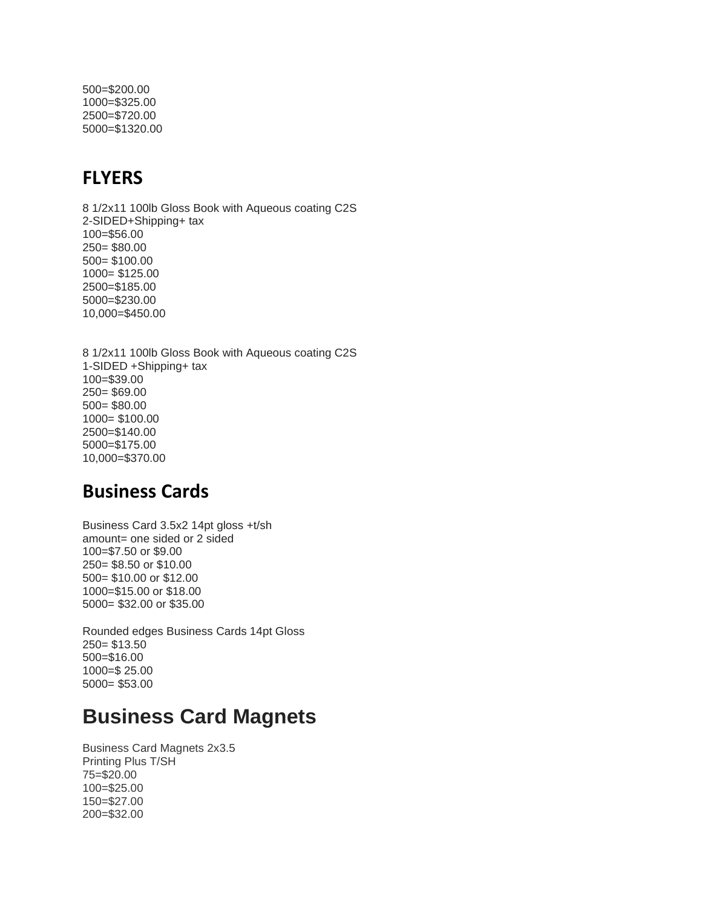500=\$200.00 1000=\$325.00 2500=\$720.00 5000=\$1320.00

#### **FLYERS**

8 1/2x11 100lb Gloss Book with Aqueous coating C2S 2-SIDED+Shipping+ tax 100=\$56.00 250= \$80.00 500= \$100.00 1000= \$125.00 2500=\$185.00 5000=\$230.00 10,000=\$450.00

8 1/2x11 100lb Gloss Book with Aqueous coating C2S 1-SIDED +Shipping+ tax 100=\$39.00 250= \$69.00 500= \$80.00 1000= \$100.00 2500=\$140.00 5000=\$175.00 10,000=\$370.00

### **Business Cards**

Business Card 3.5x2 14pt gloss +t/sh amount= one sided or 2 sided 100=\$7.50 or \$9.00 250= \$8.50 or \$10.00 500= \$10.00 or \$12.00 1000=\$15.00 or \$18.00 5000= \$32.00 or \$35.00

Rounded edges Business Cards 14pt Gloss 250= \$13.50 500=\$16.00 1000=\$ 25.00 5000= \$53.00

# **Business Card Magnets**

Business Card Magnets 2x3.5 Printing Plus T/SH 75=\$20.00 100=\$25.00 150=\$27.00 200=\$32.00